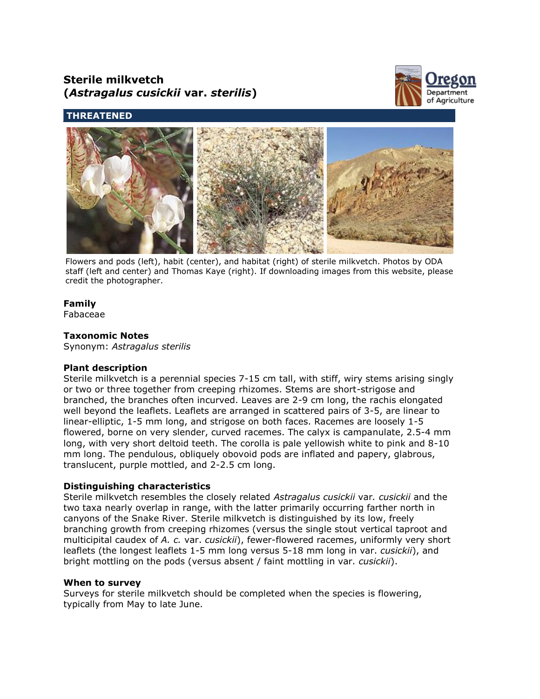# **Sterile milkvetch (***Astragalus cusickii* **var.** *sterilis***)**



# **THREATENED**



Flowers and pods (left), habit (center), and habitat (right) of sterile milkvetch. Photos by ODA staff (left and center) and Thomas Kaye (right). If downloading images from this website, please credit the photographer.

## **Family**

Fabaceae

### **Taxonomic Notes**

Synonym: *Astragalus sterilis*

#### **Plant description**

Sterile milkvetch is a perennial species 7-15 cm tall, with stiff, wiry stems arising singly or two or three together from creeping rhizomes. Stems are short-strigose and branched, the branches often incurved. Leaves are 2-9 cm long, the rachis elongated well beyond the leaflets. Leaflets are arranged in scattered pairs of 3-5, are linear to linear-elliptic, 1-5 mm long, and strigose on both faces. Racemes are loosely 1-5 flowered, borne on very slender, curved racemes. The calyx is campanulate, 2.5-4 mm long, with very short deltoid teeth. The corolla is pale yellowish white to pink and 8-10 mm long. The pendulous, obliquely obovoid pods are inflated and papery, glabrous, translucent, purple mottled, and 2-2.5 cm long.

#### **Distinguishing characteristics**

Sterile milkvetch resembles the closely related *Astragalus cusickii* var*. cusickii* and the two taxa nearly overlap in range, with the latter primarily occurring farther north in canyons of the Snake River. Sterile milkvetch is distinguished by its low, freely branching growth from creeping rhizomes (versus the single stout vertical taproot and multicipital caudex of *A. c.* var. *cusickii*), fewer-flowered racemes, uniformly very short leaflets (the longest leaflets 1-5 mm long versus 5-18 mm long in var. *cusickii*), and bright mottling on the pods (versus absent / faint mottling in var. *cusickii*).

#### **When to survey**

Surveys for sterile milkvetch should be completed when the species is flowering, typically from May to late June.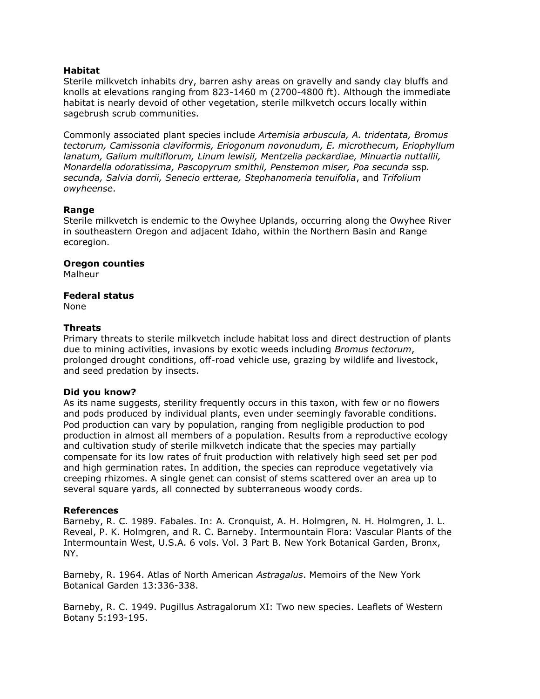#### **Habitat**

Sterile milkvetch inhabits dry, barren ashy areas on gravelly and sandy clay bluffs and knolls at elevations ranging from 823-1460 m (2700-4800 ft). Although the immediate habitat is nearly devoid of other vegetation, sterile milkvetch occurs locally within sagebrush scrub communities.

Commonly associated plant species include *Artemisia arbuscula, A. tridentata, Bromus tectorum, Camissonia claviformis, Eriogonum novonudum, E. microthecum, Eriophyllum lanatum, Galium multiflorum, Linum lewisii, Mentzelia packardiae, Minuartia nuttallii, Monardella odoratissima, Pascopyrum smithii, Penstemon miser, Poa secunda* ssp*. secunda, Salvia dorrii, Senecio ertterae, Stephanomeria tenuifolia*, and *Trifolium owyheense*.

#### **Range**

Sterile milkvetch is endemic to the Owyhee Uplands, occurring along the Owyhee River in southeastern Oregon and adjacent Idaho, within the Northern Basin and Range ecoregion.

#### **Oregon counties**

Malheur

#### **Federal status**

None

#### **Threats**

Primary threats to sterile milkvetch include habitat loss and direct destruction of plants due to mining activities, invasions by exotic weeds including *Bromus tectorum*, prolonged drought conditions, off-road vehicle use, grazing by wildlife and livestock, and seed predation by insects.

#### **Did you know?**

As its name suggests, sterility frequently occurs in this taxon, with few or no flowers and pods produced by individual plants, even under seemingly favorable conditions. Pod production can vary by population, ranging from negligible production to pod production in almost all members of a population. Results from a reproductive ecology and cultivation study of sterile milkvetch indicate that the species may partially compensate for its low rates of fruit production with relatively high seed set per pod and high germination rates. In addition, the species can reproduce vegetatively via creeping rhizomes. A single genet can consist of stems scattered over an area up to several square yards, all connected by subterraneous woody cords.

#### **References**

Barneby, R. C. 1989. Fabales. In: A. Cronquist, A. H. Holmgren, N. H. Holmgren, J. L. Reveal, P. K. Holmgren, and R. C. Barneby. Intermountain Flora: Vascular Plants of the Intermountain West, U.S.A. 6 vols. Vol. 3 Part B. New York Botanical Garden, Bronx, NY.

Barneby, R. 1964. Atlas of North American *Astragalus*. Memoirs of the New York Botanical Garden 13:336-338.

Barneby, R. C. 1949. Pugillus Astragalorum XI: Two new species. Leaflets of Western Botany 5:193-195.